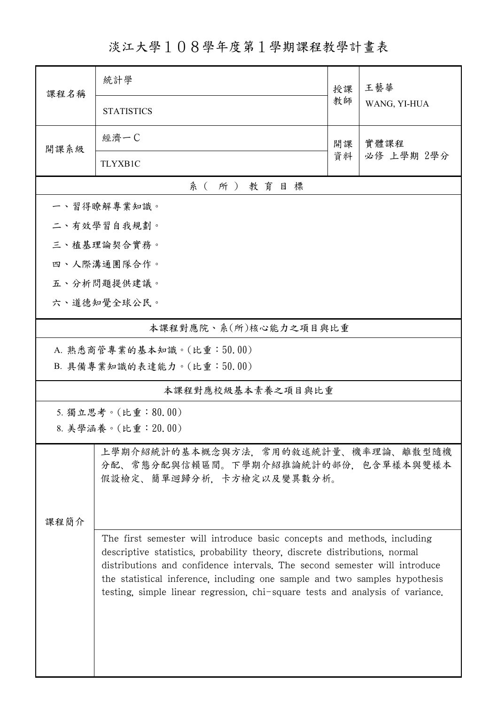淡江大學108學年度第1學期課程教學計畫表

| 課程名稱 | 統計學                                                                                                                                                                                                                                                                                                                                                                                                | 授課 | 王藝華                |  |
|------|----------------------------------------------------------------------------------------------------------------------------------------------------------------------------------------------------------------------------------------------------------------------------------------------------------------------------------------------------------------------------------------------------|----|--------------------|--|
|      | <b>STATISTICS</b>                                                                                                                                                                                                                                                                                                                                                                                  | 教師 | WANG, YI-HUA       |  |
| 開課系級 | 經濟一C                                                                                                                                                                                                                                                                                                                                                                                               | 開課 | 實體課程<br>必修 上學期 2學分 |  |
|      | <b>TLYXB1C</b>                                                                                                                                                                                                                                                                                                                                                                                     | 資料 |                    |  |
|      | 系(所)教育目標                                                                                                                                                                                                                                                                                                                                                                                           |    |                    |  |
|      | 一、習得瞭解專業知識。                                                                                                                                                                                                                                                                                                                                                                                        |    |                    |  |
|      | 二、有效學習自我規劃。                                                                                                                                                                                                                                                                                                                                                                                        |    |                    |  |
|      | 三、植基理論契合實務。                                                                                                                                                                                                                                                                                                                                                                                        |    |                    |  |
|      | 四、人際溝通團隊合作。                                                                                                                                                                                                                                                                                                                                                                                        |    |                    |  |
|      | 五、分析問題提供建議。                                                                                                                                                                                                                                                                                                                                                                                        |    |                    |  |
|      | 六、道德知覺全球公民。                                                                                                                                                                                                                                                                                                                                                                                        |    |                    |  |
|      | 本課程對應院、系(所)核心能力之項目與比重                                                                                                                                                                                                                                                                                                                                                                              |    |                    |  |
|      | A. 熟悉商管專業的基本知識。(比重:50.00)                                                                                                                                                                                                                                                                                                                                                                          |    |                    |  |
|      | B. 具備專業知識的表達能力。(比重:50.00)                                                                                                                                                                                                                                                                                                                                                                          |    |                    |  |
|      | 本課程對應校級基本素養之項目與比重                                                                                                                                                                                                                                                                                                                                                                                  |    |                    |  |
|      | 5. 獨立思考。(比重:80.00)                                                                                                                                                                                                                                                                                                                                                                                 |    |                    |  |
|      | 8. 美學涵養。(比重: 20.00)                                                                                                                                                                                                                                                                                                                                                                                |    |                    |  |
|      | 上學期介紹統計的基本概念與方法,常用的敘述統計量、機率理論、離散型隨機<br>分配、常態分配與信賴區間。下學期介紹推論統計的部份,包含單樣本與雙樣本<br>假設檢定、簡單迴歸分析、卡方檢定以及變異數分析。                                                                                                                                                                                                                                                                                             |    |                    |  |
| 课程简介 |                                                                                                                                                                                                                                                                                                                                                                                                    |    |                    |  |
|      | The first semester will introduce basic concepts and methods, including<br>descriptive statistics, probability theory, discrete distributions, normal<br>distributions and confidence intervals. The second semester will introduce<br>the statistical inference, including one sample and two samples hypothesis<br>testing, simple linear regression, chi-square tests and analysis of variance. |    |                    |  |
|      |                                                                                                                                                                                                                                                                                                                                                                                                    |    |                    |  |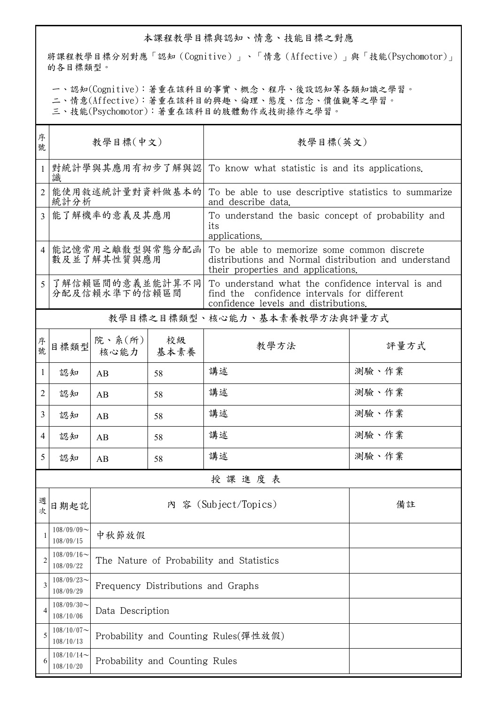## 本課程教學目標與認知、情意、技能目標之對應

將課程教學目標分別對應「認知(Cognitive)」、「情意(Affective)」與「技能(Psychomotor)」 的各目標類型。

一、認知(Cognitive):著重在該科目的事實、概念、程序、後設認知等各類知識之學習。

二、情意(Affective):著重在該科目的興趣、倫理、態度、信念、價值觀等之學習。

三、技能(Psychomotor):著重在該科目的肢體動作或技術操作之學習。

| 序<br>號         | 教學目標(中文)                         |                                      |                                | 教學目標(英文)                                                                                                                                  |       |  |
|----------------|----------------------------------|--------------------------------------|--------------------------------|-------------------------------------------------------------------------------------------------------------------------------------------|-------|--|
| $\mathbf{1}$   | 識                                |                                      |                                | 對統計學與其應用有初步了解與認 To know what statistic is and its applications.                                                                           |       |  |
| 2              | 統計分析                             | 能使用敘述統計量對資料做基本的                      |                                | To be able to use descriptive statistics to summarize<br>and describe data.                                                               |       |  |
| 3 <sup>1</sup> | 能了解機率的意義及其應用                     |                                      |                                | To understand the basic concept of probability and<br>its<br>applications.                                                                |       |  |
| $\overline{4}$ | 能記憶常用之離散型與常態分配函<br>數及並了解其性質與應用   |                                      |                                | To be able to memorize some common discrete<br>distributions and Normal distribution and understand<br>their properties and applications. |       |  |
| 5              | 了解信賴區間的意義並能計算不同<br>分配及信賴水準下的信賴區間 |                                      |                                | To understand what the confidence interval is and<br>find the confidence intervals for different<br>confidence levels and distributions.  |       |  |
|                |                                  |                                      |                                | 教學目標之目標類型、核心能力、基本素養教學方法與評量方式                                                                                                              |       |  |
| 序號             | 目標類型                             | 院、系 $(\kappa)$<br>核心能力               | 校級<br>  基本素養                   | 教學方法                                                                                                                                      | 評量方式  |  |
| 1              | 認知                               | AB                                   | 58                             | 講述                                                                                                                                        | 測驗、作業 |  |
| 2              | 認知                               | AB                                   | 58                             | 講述                                                                                                                                        | 測驗、作業 |  |
| $\overline{3}$ | 認知                               | AB                                   | 58                             | 講述                                                                                                                                        | 測驗、作業 |  |
| 4              | 認知                               | AB                                   | 58                             | 講述                                                                                                                                        | 測驗、作業 |  |
| 5              | 認知                               | AB                                   | 58                             | 講述                                                                                                                                        | 測驗、作業 |  |
|                |                                  |                                      |                                | 授課進度表                                                                                                                                     |       |  |
| 週次             | 日期起訖                             |                                      |                                | 內 容 (Subject/Topics)                                                                                                                      | 備註    |  |
| 1              | $108/09/09$ ~<br>108/09/15       | 中秋節放假                                |                                |                                                                                                                                           |       |  |
| 2              | $108/09/16$ ~<br>108/09/22       |                                      |                                | The Nature of Probability and Statistics                                                                                                  |       |  |
| 3              | $108/09/23$ ~<br>108/09/29       |                                      |                                | Frequency Distributions and Graphs                                                                                                        |       |  |
| 4              | $108/09/30$ ~<br>108/10/06       | Data Description                     |                                |                                                                                                                                           |       |  |
| 5              | $108/10/07$ ~<br>108/10/13       | Probability and Counting Rules(彈性放假) |                                |                                                                                                                                           |       |  |
| 6              | $108/10/14$ ~<br>108/10/20       |                                      | Probability and Counting Rules |                                                                                                                                           |       |  |